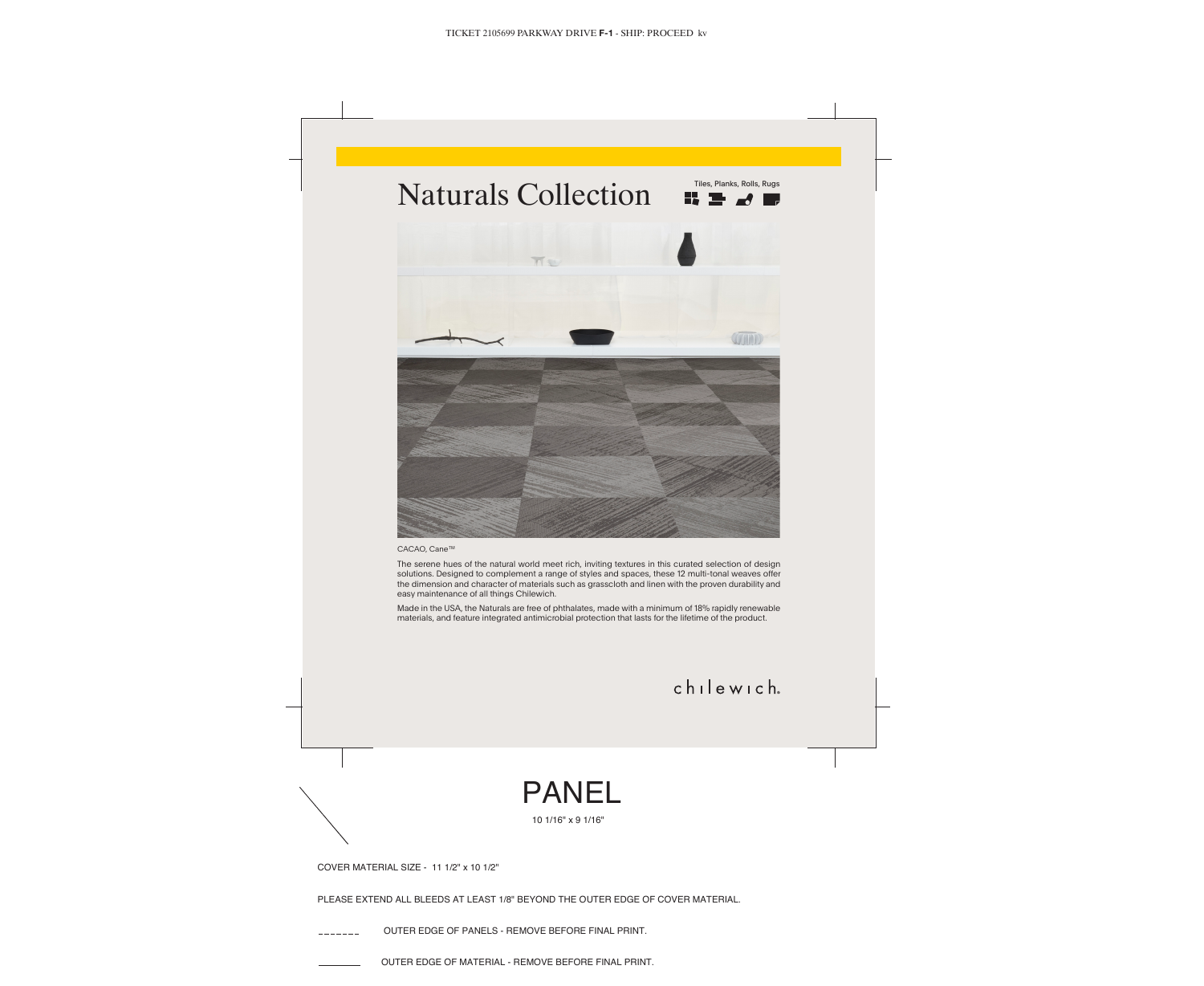COVER MATERIAL SIZE - 11 1/2" x 10 1/2"

PLEASE EXTEND ALL BLEEDS AT LEAST 1/8" BEYOND THE OUTER EDGE OF COVER MATERIAL.

OUTER EDGE OF PANELS - REMOVE BEFORE FINAL PRINT.

OUTER EDGE OF MATERIAL - REMOVE BEFORE FINAL PRINT.